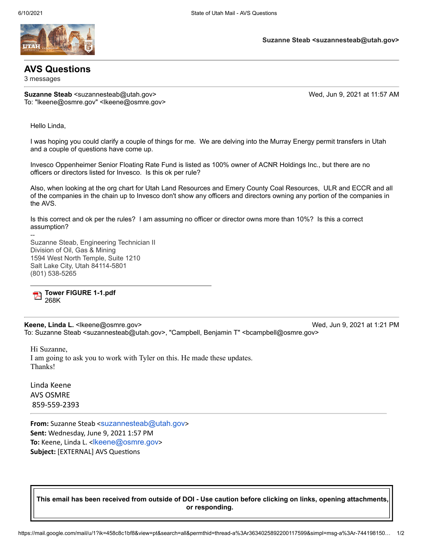

## **AVS Questions**

3 messages

**Suzanne Steab <suzannesteab@utah.gov>** Wed, Jun 9, 2021 at 11:57 AM To: "lkeene@osmre.gov" <lkeene@osmre.gov>

**Suzanne Steab <suzannesteab@utah.gov>**

Hello Linda,

--

I was hoping you could clarify a couple of things for me. We are delving into the Murray Energy permit transfers in Utah and a couple of questions have come up.

Invesco Oppenheimer Senior Floating Rate Fund is listed as 100% owner of ACNR Holdings Inc., but there are no officers or directors listed for Invesco. Is this ok per rule?

Also, when looking at the org chart for Utah Land Resources and Emery County Coal Resources, ULR and ECCR and all of the companies in the chain up to Invesco don't show any officers and directors owning any portion of the companies in the AVS.

Is this correct and ok per the rules? I am assuming no officer or director owns more than 10%? Is this a correct assumption?

Suzanne Steab, Engineering Technician II Division of Oil, Gas & Mining 1594 West North Temple, Suite 1210 Salt Lake City, Utah 84114-5801 (801) 538-5265

**Tower FIGURE 1-1.pdf** 268K

**Keene, Linda L.** <lkeene@osmre.gov> Network: Network: Network: Network: Network: Network: Network: Network: Network: N To: Suzanne Steab <suzannesteab@utah.gov>, "Campbell, Benjamin T" <bcampbell@osmre.gov>

Hi Suzanne, I am going to ask you to work with Tyler on this. He made these updates. Thanks!

Linda Keene AVS OSMRE 859-559-2393

**From:** Suzanne Steab <[suzannesteab@utah.gov](mailto:suzannesteab@utah.gov)> **Sent:** Wednesday, June 9, 2021 1:57 PM **To:** Keene, Linda L. <[lkeene@osmre.gov](mailto:lkeene@osmre.gov)> **Subject:** [EXTERNAL] AVS Questions

**This email has been received from outside of DOI - Use caution before clicking on links, opening attachments, or responding.**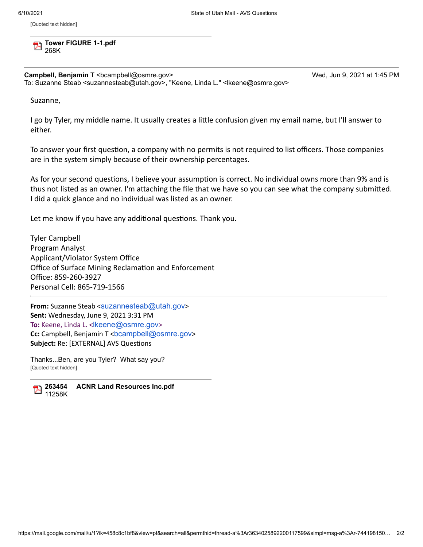[Quoted text hidden]

**Tower FIGURE 1-1.pdf** 268K

**Campbell, Benjamin T** <bcampbell@osmre.gov> Wed, Jun 9, 2021 at 1:45 PM To: Suzanne Steab <suzannesteab@utah.gov>, "Keene, Linda L." <lkeene@osmre.gov>

Suzanne,

I go by Tyler, my middle name. It usually creates a little confusion given my email name, but I'll answer to either.

To answer your first question, a company with no permits is not required to list officers. Those companies are in the system simply because of their ownership percentages.

As for your second questions, I believe your assumption is correct. No individual owns more than 9% and is thus not listed as an owner. I'm attaching the file that we have so you can see what the company submitted. I did a quick glance and no individual was listed as an owner.

Let me know if you have any additional questions. Thank you.

Tyler Campbell Program Analyst Applicant/Violator System Office Office of Surface Mining Reclamation and Enforcement Office: 859-260-3927 Personal Cell: 865-719-1566

**From:** Suzanne Steab <[suzannesteab@utah.gov](mailto:suzannesteab@utah.gov)> **Sent:** Wednesday, June 9, 2021 3:31 PM **To:** Keene, Linda L. <[lkeene@osmre.gov](mailto:lkeene@osmre.gov)> **Cc:** Campbell, Benjamin T <[bcampbell@osmre.gov](mailto:bcampbell@osmre.gov)> **Subject:** Re: [EXTERNAL] AVS Questions

Thanks...Ben, are you Tyler? What say you? [Quoted text hidden]



**263454 ACNR Land Resources Inc.pdf** 11258K